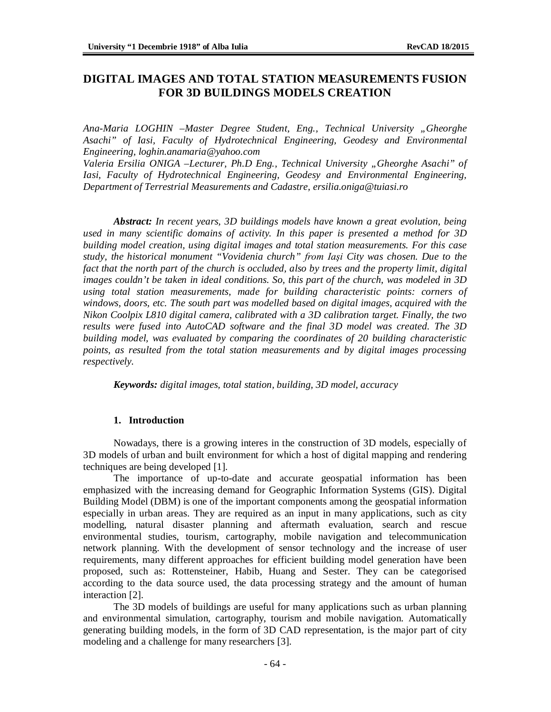# **DIGITAL IMAGES AND TOTAL STATION MEASUREMENTS FUSION FOR 3D BUILDINGS MODELS CREATION**

*Ana-Maria LOGHIN –Master Degree Student, Eng., Technical University "Gheorghe Asachi" of Iasi, Faculty of Hydrotechnical Engineering, Geodesy and Environmental Engineering, [loghin.anamaria@yahoo.com](mailto:loghin.anamaria@yahoo.com)*

*Valeria Ersilia ONIGA –Lecturer, Ph.D Eng., Technical University "Gheorghe Asachi" of Iasi, Faculty of Hydrotechnical Engineering, Geodesy and Environmental Engineering, Department of Terrestrial Measurements and Cadastre, [ersilia.oniga@tuiasi.ro](mailto:ersilia.oniga@tuiasi.ro)*

*Abstract: In recent years, 3D buildings models have known a great evolution, being used in many scientific domains of activity. In this paper is presented a method for 3D building model creation, using digital images and total station measurements. For this case study, the historical monument "Vovidenia church" from Iaşi City was chosen. Due to the fact that the north part of the church is occluded, also by trees and the property limit, digital images couldn't be taken in ideal conditions. So, this part of the church, was modeled in 3D using total station measurements, made for building characteristic points: corners of windows, doors, etc. The south part was modelled based on digital images, acquired with the Nikon Coolpix L810 digital camera, calibrated with a 3D calibration target. Finally, the two results were fused into AutoCAD software and the final 3D model was created. The 3D building model, was evaluated by comparing the coordinates of 20 building characteristic points, as resulted from the total station measurements and by digital images processing respectively.*

*Keywords: digital images, total station, building, 3D model, accuracy*

### **1. Introduction**

Nowadays, there is a growing interes in the construction of 3D models, especially of 3D models of urban and built environment for which a host of digital mapping and rendering techniques are being developed [1].

The importance of up-to-date and accurate geospatial information has been emphasized with the increasing demand for Geographic Information Systems (GIS). Digital Building Model (DBM) is one of the important components among the geospatial information especially in urban areas. They are required as an input in many applications, such as city modelling, natural disaster planning and aftermath evaluation, search and rescue environmental studies, tourism, cartography, mobile navigation and telecommunication network planning. With the development of sensor technology and the increase of user requirements, many different approaches for efficient building model generation have been proposed, such as: Rottensteiner, Habib, Huang and Sester. They can be categorised according to the data source used, the data processing strategy and the amount of human interaction [2].

The 3D models of buildings are useful for many applications such as urban planning and environmental simulation, cartography, tourism and mobile navigation. Automatically generating building models, in the form of 3D CAD representation, is the major part of city modeling and a challenge for many researchers [3].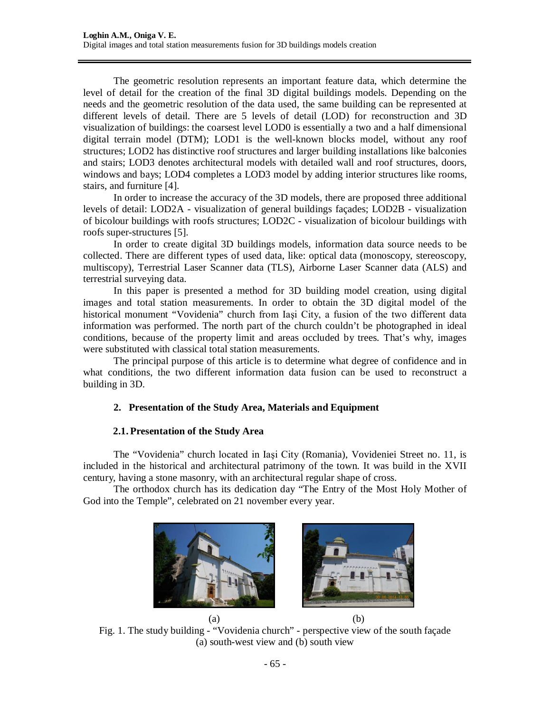The geometric resolution represents an important feature data, which determine the level of detail for the creation of the final 3D digital buildings models. Depending on the needs and the geometric resolution of the data used, the same building can be represented at different levels of detail. There are 5 levels of detail (LOD) for reconstruction and 3D visualization of buildings: the coarsest level LOD0 is essentially a two and a half dimensional digital terrain model (DTM); LOD1 is the well-known blocks model, without any roof structures; LOD2 has distinctive roof structures and larger building installations like balconies and stairs; LOD3 denotes architectural models with detailed wall and roof structures, doors, windows and bays; LOD4 completes a LOD3 model by adding interior structures like rooms, stairs, and furniture [4].

In order to increase the accuracy of the 3D models, there are proposed three additional levels of detail: LOD2A - visualization of general buildings façades; LOD2B - visualization of bicolour buildings with roofs structures; LOD2C - visualization of bicolour buildings with roofs super-structures [5].

In order to create digital 3D buildings models, information data source needs to be collected. There are different types of used data, like: optical data (monoscopy, stereoscopy, multiscopy), Terrestrial Laser Scanner data (TLS), Airborne Laser Scanner data (ALS) and terrestrial surveying data.

In this paper is presented a method for 3D building model creation, using digital images and total station measurements. In order to obtain the 3D digital model of the historical monument "Vovidenia" church from Iaşi City, a fusion of the two different data information was performed. The north part of the church couldn't be photographed in ideal conditions, because of the property limit and areas occluded by trees. That's why, images were substituted with classical total station measurements.

The principal purpose of this article is to determine what degree of confidence and in what conditions, the two different information data fusion can be used to reconstruct a building in 3D.

# **2. Presentation of the Study Area, Materials and Equipment**

# **2.1. Presentation of the Study Area**

The "Vovidenia" church located in Iaşi City (Romania), Vovideniei Street no. 11, is included in the historical and architectural patrimony of the town. It was build in the XVII century, having a stone masonry, with an architectural regular shape of cross.

The orthodox church has its dedication day "The Entry of the Most Holy Mother of God into the Temple", celebrated on 21 november every year.



Fig. 1. The study building - "Vovidenia church" - perspective view of the south façade (a) south-west view and (b) south view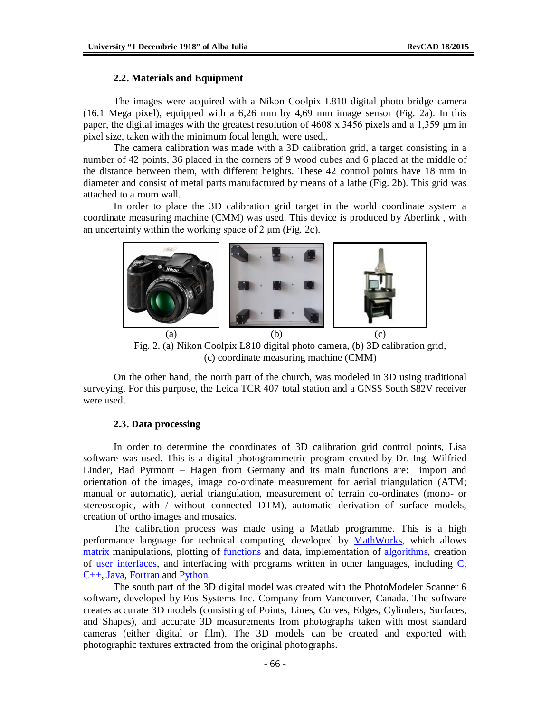#### **2.2. Materials and Equipment**

The images were acquired with a Nikon Coolpix L810 digital photo bridge camera (16.1 Mega pixel), equipped with a 6,26 mm by 4,69 mm image sensor (Fig. 2a). In this paper, the digital images with the greatest resolution of 4608 x 3456 pixels and a 1,359 μm in pixel size, taken with the minimum focal length, were used,.

The camera calibration was made with a 3D calibration grid, a target consisting in a number of 42 points, 36 placed in the corners of 9 wood cubes and 6 placed at the middle of the distance between them, with different heights. These 42 control points have 18 mm in diameter and consist of metal parts manufactured by means of a lathe (Fig. 2b). This grid was attached to a room wall.

In order to place the 3D calibration grid target in the world coordinate system a coordinate measuring machine (CMM) was used. This device is produced by Aberlink , with an uncertainty within the working space of 2 μm (Fig. 2c).



Fig. 2. (a) Nikon Coolpix L810 digital photo camera, (b) 3D calibration grid, (c) coordinate measuring machine (CMM)

On the other hand, the north part of the church, was modeled in 3D using traditional surveying. For this purpose, the Leica TCR 407 total station and a GNSS South S82V receiver were used.

#### **2.3. Data processing**

In order to determine the coordinates of 3D calibration grid control points, Lisa software was used. This is a digital photogrammetric program created by Dr.-Ing. Wilfried Linder, Bad Pyrmont – Hagen from Germany and its main functions are: import and orientation of the images, image co-ordinate measurement for aerial triangulation (ATM; manual or automatic), aerial triangulation, measurement of terrain co-ordinates (mono- or stereoscopic, with / without connected DTM), automatic derivation of surface models, creation of ortho images and mosaics.

The calibration process was made using a Matlab programme. This is a high performance language for technical computing, developed by MathWorks, which allows matrix manipulations, plotting of functions and data, implementation of algorithms, creation of user interfaces, and interfacing with programs written in other languages, including  $C$ , C++, Java, Fortran and Python.

The south part of the 3D digital model was created with the PhotoModeler Scanner 6 software, developed by Eos Systems Inc. Company from Vancouver, Canada. The software creates accurate 3D models (consisting of Points, Lines, Curves, Edges, Cylinders, Surfaces, and Shapes), and accurate 3D measurements from photographs taken with most standard cameras (either digital or film). The 3D models can be created and exported with photographic textures extracted from the original photographs.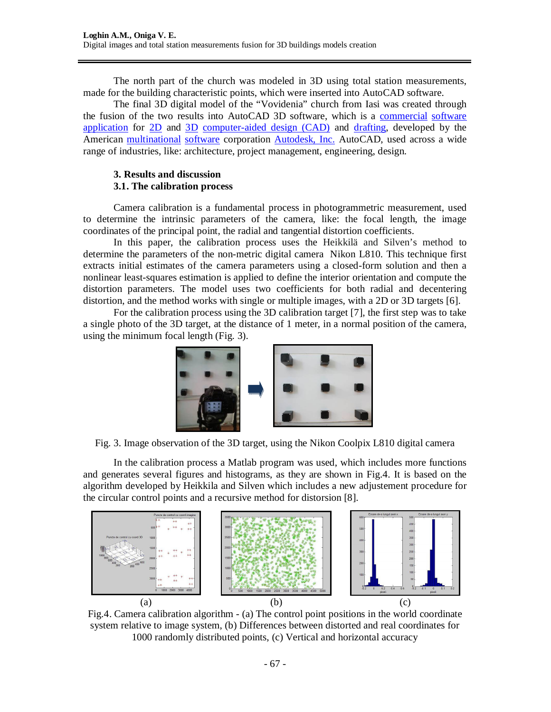The north part of the church was modeled in 3D using total station measurements, made for the building characteristic points, which were inserted into AutoCAD software.

The final 3D digital model of the "Vovidenia" church from Iasi was created through the fusion of the two results into AutoCAD 3D software, which is a commercial software application for 2D and 3D computer-aided design (CAD) and drafting, developed by the American multinational software corporation Autodesk, Inc. AutoCAD, used across a wide range of industries, like: architecture, project management, engineering, design.

### **3. Results and discussion 3.1. The calibration process**

Camera calibration is a fundamental process in photogrammetric measurement, used to determine the intrinsic parameters of the camera, like: the focal length, the image coordinates of the principal point, the radial and tangential distortion coefficients.

In this paper, the calibration process uses the Heikkilä and Silven's method to determine the parameters of the non-metric digital camera Nikon L810. This technique first extracts initial estimates of the camera parameters using a closed-form solution and then a nonlinear least-squares estimation is applied to define the interior orientation and compute the distortion parameters. The model uses two coefficients for both radial and decentering distortion, and the method works with single or multiple images, with a 2D or 3D targets [6].

For the calibration process using the 3D calibration target [7], the first step was to take a single photo of the 3D target, at the distance of 1 meter, in a normal position of the camera, using the minimum focal length (Fig. 3).



Fig. 3. Image observation of the 3D target, using the Nikon Coolpix L810 digital camera

In the calibration process a Matlab program was used, which includes more functions and generates several figures and histograms, as they are shown in Fig.4. It is based on the algorithm developed by Heikkila and Silven which includes a new adjustement procedure for the circular control points and a recursive method for distorsion [8].



Fig.4. Camera calibration algorithm - (a) The control point positions in the world coordinate system relative to image system, (b) Differences between distorted and real coordinates for 1000 randomly distributed points, (c) Vertical and horizontal accuracy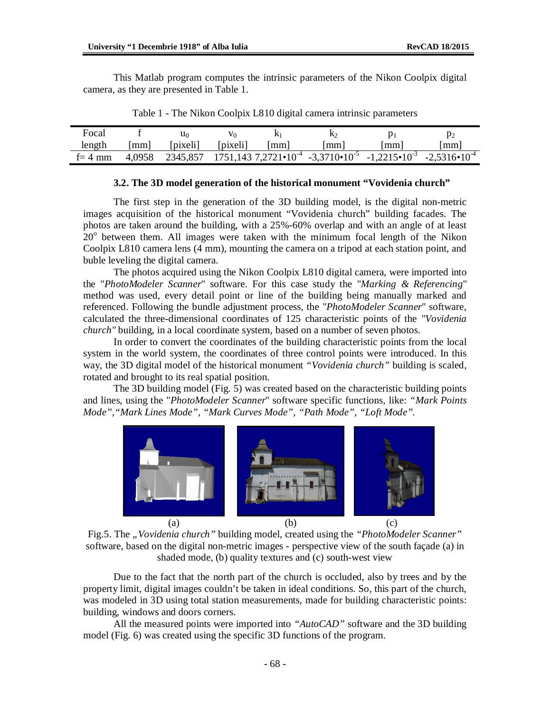This Matlab program computes the intrinsic parameters of the Nikon Coolpix digital camera, as they are presented in Table 1.

| Focal      |        | u٥       | V٥       |    |    |                                                                                | P2                      |
|------------|--------|----------|----------|----|----|--------------------------------------------------------------------------------|-------------------------|
| length     | mm     | [pixeli] | [pixeli] | mm | mm | mm                                                                             | mm                      |
| $t = 4$ mm | 4.0958 | 2345,857 |          |    |    | $1751,1437,2721 \cdot 10^{-4}$ $-3,3710 \cdot 10^{-5}$ $-1,2215 \cdot 10^{-3}$ | $-2,5316 \cdot 10^{-4}$ |

Table 1 - The Nikon Coolpix L810 digital camera intrinsic parameters

#### **3.2. The 3D model generation of the historical monument "Vovidenia church"**

The first step in the generation of the 3D building model, is the digital non-metric images acquisition of the historical monument "Vovidenia church" building facades. The photos are taken around the building, with a 25%-60% overlap and with an angle of at least  $20^{\circ}$  between them. All images were taken with the minimum focal length of the Nikon Coolpix L810 camera lens (4 mm), mounting the camera on a tripod at each station point, and buble leveling the digital camera.

The photos acquired using the Nikon Coolpix L810 digital camera, were imported into the "*PhotoModeler Scanner*" software. For this case study the "*Marking & Referencing*" method was used, every detail point or line of the building being manually marked and referenced. Following the bundle adjustment process, the "*PhotoModeler Scanner*" software, calculated the three-dimensional coordinates of 125 characteristic points of the *"Vovidenia church"* building, in a local coordinate system, based on a number of seven photos.

In order to convert the coordinates of the building characteristic points from the local system in the world system, the coordinates of three control points were introduced. In this way, the 3D digital model of the historical monument *"Vovidenia church"* building is scaled, rotated and brought to its real spatial position.

The 3D building model (Fig. 5) was created based on the characteristic building points and lines, using the "*PhotoModeler Scanner*" software specific functions, like: *"Mark Points Mode","Mark Lines Mode", "Mark Curves Mode", "Path Mode", "Loft Mode".*





Due to the fact that the north part of the church is occluded, also by trees and by the property limit, digital images couldn't be taken in ideal conditions. So, this part of the church, was modeled in 3D using total station measurements, made for building characteristic points: building, windows and doors corners.

All the measured points were imported into *"AutoCAD"* software and the 3D building model (Fig. 6) was created using the specific 3D functions of the program.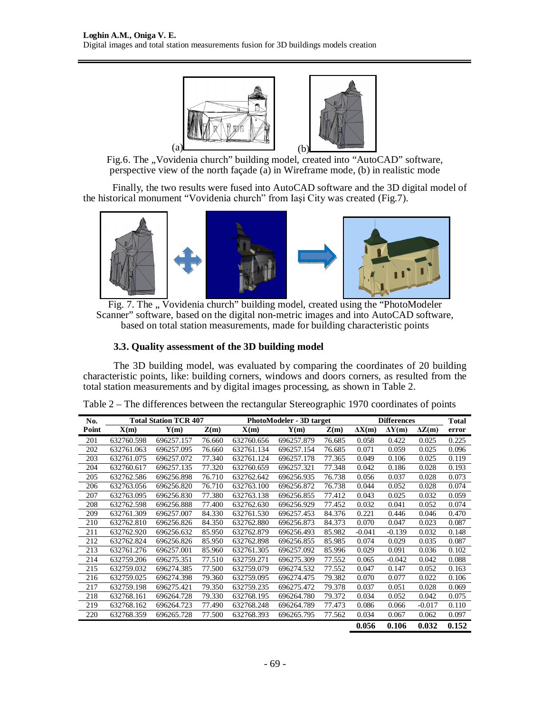

Fig.6. The "Vovidenia church" building model, created into "AutoCAD" software, perspective view of the north façade (a) in Wireframe mode, (b) in realistic mode

Finally, the two results were fused into AutoCAD software and the 3D digital model of the historical monument "Vovidenia church" from Iaşi City was created (Fig.7).



Fig. 7. The " Vovidenia church" building model, created using the "PhotoModeler Scanner" software, based on the digital non-metric images and into AutoCAD software, based on total station measurements, made for building characteristic points

# **3.3. Quality assessment of the 3D building model**

The 3D building model, was evaluated by comparing the coordinates of 20 building characteristic points, like: building corners, windows and doors corners, as resulted from the total station measurements and by digital images processing, as shown in Table 2.

| No.   | <b>Total Station TCR 407</b> |            |        | <b>PhotoModeler - 3D target</b> | <b>Differences</b> |        |               | Total         |               |       |
|-------|------------------------------|------------|--------|---------------------------------|--------------------|--------|---------------|---------------|---------------|-------|
| Point | X(m)                         | Y(m)       | Z(m)   | X(m)                            | Y(m)               | Z(m)   | $\Delta X(m)$ | $\Delta Y(m)$ | $\Delta Z(m)$ | error |
| 201   | 632760.598                   | 696257.157 | 76.660 | 632760.656                      | 696257.879         | 76.685 | 0.058         | 0.422         | 0.025         | 0.225 |
| 202   | 632761.063                   | 696257.095 | 76.660 | 632761.134                      | 696257.154         | 76.685 | 0.071         | 0.059         | 0.025         | 0.096 |
| 203   | 632761.075                   | 696257.072 | 77.340 | 632761.124                      | 696257.178         | 77.365 | 0.049         | 0.106         | 0.025         | 0.119 |
| 204   | 632760.617                   | 696257.135 | 77.320 | 632760.659                      | 696257.321         | 77.348 | 0.042         | 0.186         | 0.028         | 0.193 |
| 205   | 632762.586                   | 696256.898 | 76.710 | 632762.642                      | 696256.935         | 76.738 | 0.056         | 0.037         | 0.028         | 0.073 |
| 206   | 632763.056                   | 696256.820 | 76.710 | 632763.100                      | 696256.872         | 76.738 | 0.044         | 0.052         | 0.028         | 0.074 |
| 207   | 632763.095                   | 696256.830 | 77.380 | 632763.138                      | 696256.855         | 77.412 | 0.043         | 0.025         | 0.032         | 0.059 |
| 208   | 632762.598                   | 696256.888 | 77.400 | 632762.630                      | 696256.929         | 77.452 | 0.032         | 0.041         | 0.052         | 0.074 |
| 209   | 632761.309                   | 696257.007 | 84.330 | 632761.530                      | 696257.453         | 84.376 | 0.221         | 0.446         | 0.046         | 0.470 |
| 210   | 632762.810                   | 696256.826 | 84.350 | 632762.880                      | 696256.873         | 84.373 | 0.070         | 0.047         | 0.023         | 0.087 |
| 211   | 632762.920                   | 696256.632 | 85.950 | 632762.879                      | 696256.493         | 85.982 | $-0.041$      | $-0.139$      | 0.032         | 0.148 |
| 212   | 632762.824                   | 696256.826 | 85.950 | 632762.898                      | 696256.855         | 85.985 | 0.074         | 0.029         | 0.035         | 0.087 |
| 213   | 632761.276                   | 696257.001 | 85.960 | 632761.305                      | 696257.092         | 85.996 | 0.029         | 0.091         | 0.036         | 0.102 |
| 214   | 632759.206                   | 696275.351 | 77.510 | 632759.271                      | 696275.309         | 77.552 | 0.065         | $-0.042$      | 0.042         | 0.088 |
| 215   | 632759.032                   | 696274.385 | 77.500 | 632759.079                      | 696274.532         | 77.552 | 0.047         | 0.147         | 0.052         | 0.163 |
| 216   | 632759.025                   | 696274.398 | 79.360 | 632759.095                      | 696274.475         | 79.382 | 0.070         | 0.077         | 0.022         | 0.106 |
| 217   | 632759.198                   | 696275.421 | 79.350 | 632759.235                      | 696275.472         | 79.378 | 0.037         | 0.051         | 0.028         | 0.069 |
| 218   | 632768.161                   | 696264.728 | 79.330 | 632768.195                      | 696264.780         | 79.372 | 0.034         | 0.052         | 0.042         | 0.075 |
| 219   | 632768.162                   | 696264.723 | 77.490 | 632768.248                      | 696264.789         | 77.473 | 0.086         | 0.066         | $-0.017$      | 0.110 |
| 220   | 632768.359                   | 696265.728 | 77.500 | 632768.393                      | 696265.795         | 77.562 | 0.034         | 0.067         | 0.062         | 0.097 |
|       |                              |            |        |                                 |                    |        | 0.056         | 0.106         | 0.032         | 0.152 |

Table 2 – The differences between the rectangular Stereographic 1970 coordinates of points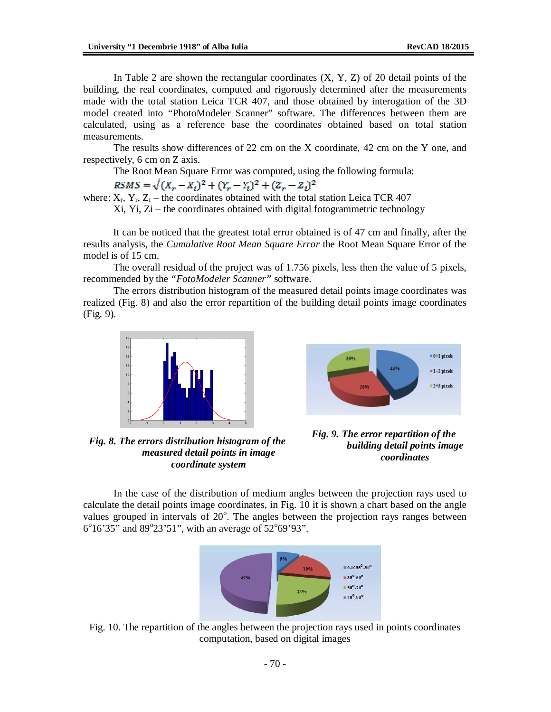In Table 2 are shown the rectangular coordinates  $(X, Y, Z)$  of 20 detail points of the building, the real coordinates, computed and rigorously determined after the measurements made with the total station Leica TCR 407, and those obtained by interogation of the 3D model created into "PhotoModeler Scanner" software. The differences between them are calculated, using as a reference base the coordinates obtained based on total station measurements.

The results show differences of 22 cm on the X coordinate, 42 cm on the Y one, and respectively, 6 cm on Z axis.

The Root Mean Square Error was computed, using the following formula:

 $RSMS = \sqrt{(X_r - X_i)^2 + (Y_r - Y_i)^2 + (Z_r - Z_i)^2}$ 

where:  $X_r$ ,  $Y_r$ ,  $Z_r$  – the coordinates obtained with the total station Leica TCR 407

Xi, Yi, Zi – the coordinates obtained with digital fotogrammetric technology

It can be noticed that the greatest total error obtained is of 47 cm and finally, after the results analysis, the *Cumulative Root Mean Square Error* the Root Mean Square Error of the model is of 15 cm.

The overall residual of the project was of 1.756 pixels, less then the value of 5 pixels, recommended by the *"FotoModeler Scanner"* software.

The errors distribution histogram of the measured detail points image coordinates was realized (Fig. 8) and also the error repartition of the building detail points image coordinates (Fig. 9).





*Fig. 8. The errors distribution histogram of the measured detail points in image coordinate system*

*Fig. 9. The error repartition of the building detail points image coordinates*

In the case of the distribution of medium angles between the projection rays used to calculate the detail points image coordinates, in Fig. 10 it is shown a chart based on the angle values grouped in intervals of 20°. The angles between the projection rays ranges between  $6^{\circ}16'35''$  and  $89^{\circ}23'51''$ , with an average of  $52^{\circ}69'93''$ .



Fig. 10. The repartition of the angles between the projection rays used in points coordinates computation, based on digital images